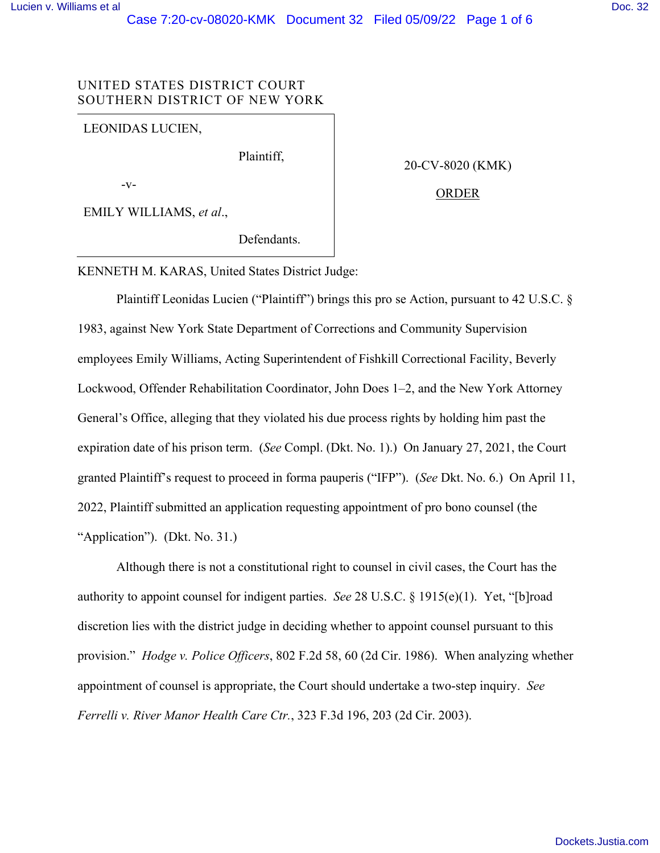## UNITED STATES DISTRICT COURT SOUTHERN DISTRICT OF NEW YORK

LEONIDAS LUCIEN,

Plaintiff,

-v-

EMILY WILLIAMS, *et al*.,

20-CV-8020 (KMK)

### ORDER

Defendants.

KENNETH M. KARAS, United States District Judge:

Plaintiff Leonidas Lucien ("Plaintiff") brings this pro se Action, pursuant to 42 U.S.C. § 1983, against New York State Department of Corrections and Community Supervision employees Emily Williams, Acting Superintendent of Fishkill Correctional Facility, Beverly Lockwood, Offender Rehabilitation Coordinator, John Does 1–2, and the New York Attorney General's Office, alleging that they violated his due process rights by holding him past the expiration date of his prison term. (*See* Compl. (Dkt. No. 1).) On January 27, 2021, the Court granted Plaintiff's request to proceed in forma pauperis ("IFP"). (*See* Dkt. No. 6.) On April 11, 2022, Plaintiff submitted an application requesting appointment of pro bono counsel (the "Application"). (Dkt. No. 31.)

Although there is not a constitutional right to counsel in civil cases, the Court has the authority to appoint counsel for indigent parties. *See* 28 U.S.C. § 1915(e)(1). Yet, "[b]road discretion lies with the district judge in deciding whether to appoint counsel pursuant to this provision." *Hodge v. Police Officers*, 802 F.2d 58, 60 (2d Cir. 1986). When analyzing whether appointment of counsel is appropriate, the Court should undertake a two-step inquiry. *See Ferrelli v. River Manor Health Care Ctr.*, 323 F.3d 196, 203 (2d Cir. 2003).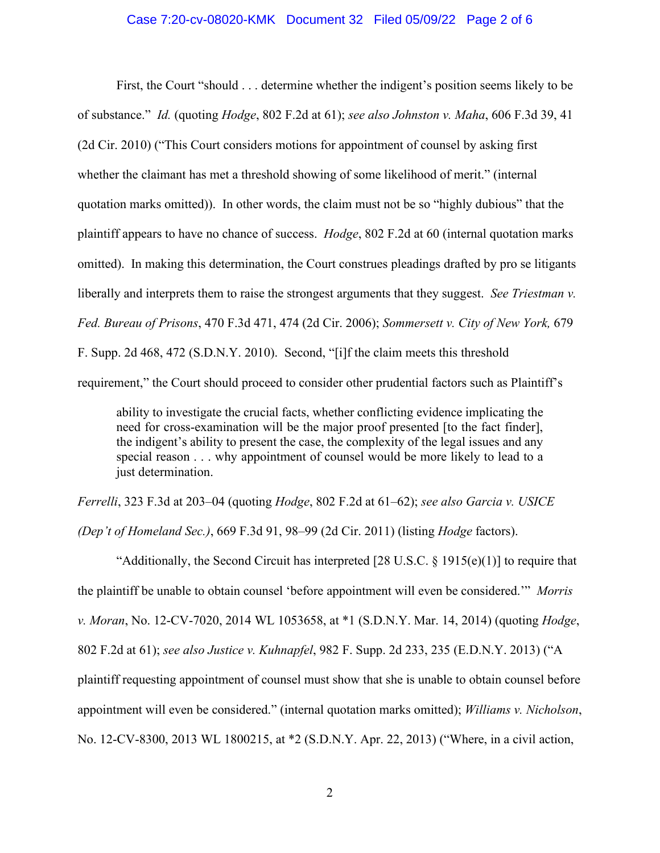#### Case 7:20-cv-08020-KMK Document 32 Filed 05/09/22 Page 2 of 6

First, the Court "should . . . determine whether the indigent's position seems likely to be of substance." *Id.* (quoting *Hodge*, 802 F.2d at 61); *see also Johnston v. Maha*, 606 F.3d 39, 41 (2d Cir. 2010) ("This Court considers motions for appointment of counsel by asking first whether the claimant has met a threshold showing of some likelihood of merit." (internal quotation marks omitted)). In other words, the claim must not be so "highly dubious" that the plaintiff appears to have no chance of success. *Hodge*, 802 F.2d at 60 (internal quotation marks omitted). In making this determination, the Court construes pleadings drafted by pro se litigants liberally and interprets them to raise the strongest arguments that they suggest. *See Triestman v. Fed. Bureau of Prisons*, 470 F.3d 471, 474 (2d Cir. 2006); *Sommersett v. City of New York,* 679 F. Supp. 2d 468, 472 (S.D.N.Y. 2010). Second, "[i]f the claim meets this threshold requirement," the Court should proceed to consider other prudential factors such as Plaintiff's

ability to investigate the crucial facts, whether conflicting evidence implicating the need for cross-examination will be the major proof presented [to the fact finder], the indigent's ability to present the case, the complexity of the legal issues and any special reason . . . why appointment of counsel would be more likely to lead to a just determination.

*Ferrelli*, 323 F.3d at 203–04 (quoting *Hodge*, 802 F.2d at 61–62); *see also Garcia v. USICE*

*(Dep't of Homeland Sec.)*, 669 F.3d 91, 98–99 (2d Cir. 2011) (listing *Hodge* factors).

"Additionally, the Second Circuit has interpreted [28 U.S.C.  $\S$  1915(e)(1)] to require that the plaintiff be unable to obtain counsel 'before appointment will even be considered.'" *Morris v. Moran*, No. 12-CV-7020, 2014 WL 1053658, at \*1 (S.D.N.Y. Mar. 14, 2014) (quoting *Hodge*, 802 F.2d at 61); *see also Justice v. Kuhnapfel*, 982 F. Supp. 2d 233, 235 (E.D.N.Y. 2013) ("A plaintiff requesting appointment of counsel must show that she is unable to obtain counsel before appointment will even be considered." (internal quotation marks omitted); *Williams v. Nicholson*, No. 12-CV-8300, 2013 WL 1800215, at \*2 (S.D.N.Y. Apr. 22, 2013) ("Where, in a civil action,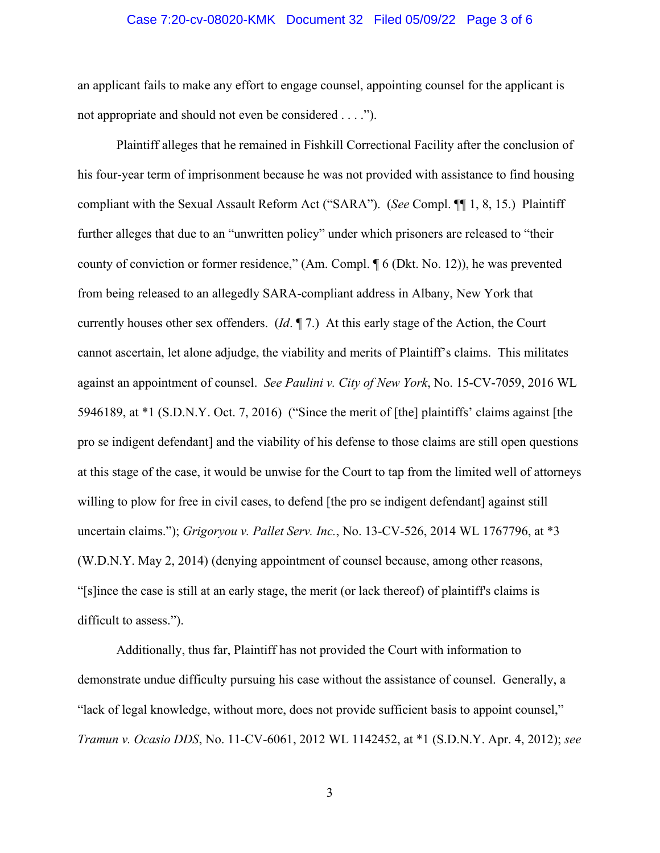#### Case 7:20-cv-08020-KMK Document 32 Filed 05/09/22 Page 3 of 6

an applicant fails to make any effort to engage counsel, appointing counsel for the applicant is not appropriate and should not even be considered . . . .").

Plaintiff alleges that he remained in Fishkill Correctional Facility after the conclusion of his four-year term of imprisonment because he was not provided with assistance to find housing compliant with the Sexual Assault Reform Act ("SARA"). (*See* Compl. ¶¶ 1, 8, 15.) Plaintiff further alleges that due to an "unwritten policy" under which prisoners are released to "their county of conviction or former residence," (Am. Compl. ¶ 6 (Dkt. No. 12)), he was prevented from being released to an allegedly SARA-compliant address in Albany, New York that currently houses other sex offenders. (*Id*. ¶ 7.) At this early stage of the Action, the Court cannot ascertain, let alone adjudge, the viability and merits of Plaintiff's claims. This militates against an appointment of counsel. *See Paulini v. City of New York*, No. 15-CV-7059, 2016 WL 5946189, at \*1 (S.D.N.Y. Oct. 7, 2016) ("Since the merit of [the] plaintiffs' claims against [the pro se indigent defendant] and the viability of his defense to those claims are still open questions at this stage of the case, it would be unwise for the Court to tap from the limited well of attorneys willing to plow for free in civil cases, to defend [the pro se indigent defendant] against still uncertain claims."); *Grigoryou v. Pallet Serv. Inc.*, No. 13-CV-526, 2014 WL 1767796, at \*3 (W.D.N.Y. May 2, 2014) (denying appointment of counsel because, among other reasons, "[s]ince the case is still at an early stage, the merit (or lack thereof) of plaintiff's claims is difficult to assess.").

Additionally, thus far, Plaintiff has not provided the Court with information to demonstrate undue difficulty pursuing his case without the assistance of counsel. Generally, a "lack of legal knowledge, without more, does not provide sufficient basis to appoint counsel," *Tramun v. Ocasio DDS*, No. 11-CV-6061, 2012 WL 1142452, at \*1 (S.D.N.Y. Apr. 4, 2012); *see* 

3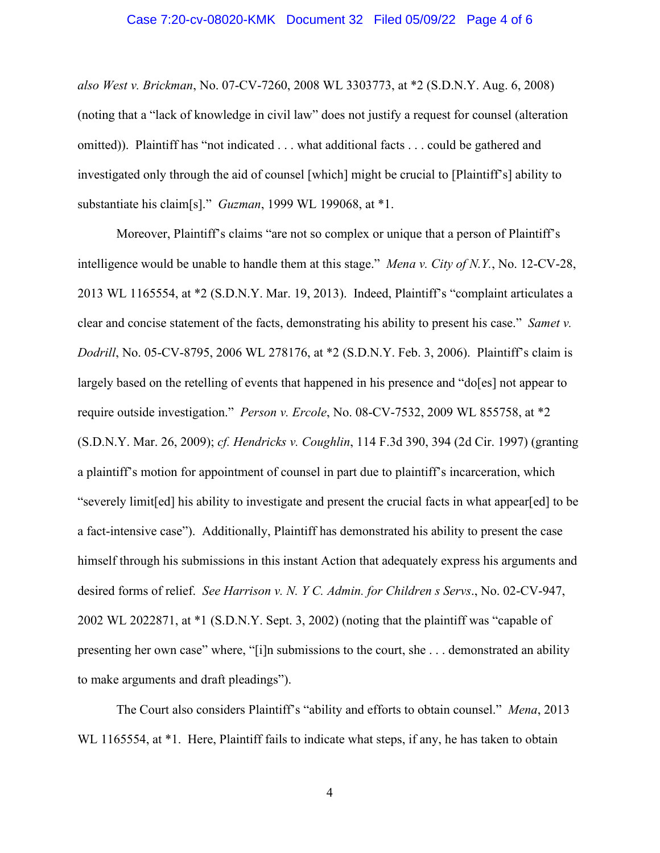#### Case 7:20-cv-08020-KMK Document 32 Filed 05/09/22 Page 4 of 6

*also West v. Brickman*, No. 07-CV-7260, 2008 WL 3303773, at \*2 (S.D.N.Y. Aug. 6, 2008) (noting that a "lack of knowledge in civil law" does not justify a request for counsel (alteration omitted)). Plaintiff has "not indicated . . . what additional facts . . . could be gathered and investigated only through the aid of counsel [which] might be crucial to [Plaintiff's] ability to substantiate his claim[s]." *Guzman*, 1999 WL 199068, at \*1.

Moreover, Plaintiff's claims "are not so complex or unique that a person of Plaintiff's intelligence would be unable to handle them at this stage." *Mena v. City of N.Y.*, No. 12-CV-28, 2013 WL 1165554, at \*2 (S.D.N.Y. Mar. 19, 2013). Indeed, Plaintiff's "complaint articulates a clear and concise statement of the facts, demonstrating his ability to present his case." *Samet v. Dodrill*, No. 05-CV-8795, 2006 WL 278176, at \*2 (S.D.N.Y. Feb. 3, 2006). Plaintiff's claim is largely based on the retelling of events that happened in his presence and "do[es] not appear to require outside investigation." *Person v. Ercole*, No. 08-CV-7532, 2009 WL 855758, at \*2 (S.D.N.Y. Mar. 26, 2009); *cf. Hendricks v. Coughlin*, 114 F.3d 390, 394 (2d Cir. 1997) (granting a plaintiff's motion for appointment of counsel in part due to plaintiff's incarceration, which "severely limit[ed] his ability to investigate and present the crucial facts in what appear[ed] to be a fact-intensive case"). Additionally, Plaintiff has demonstrated his ability to present the case himself through his submissions in this instant Action that adequately express his arguments and desired forms of relief. *See Harrison v. N. Y C. Admin. for Children s Servs*., No. 02-CV-947, 2002 WL 2022871, at \*1 (S.D.N.Y. Sept. 3, 2002) (noting that the plaintiff was "capable of presenting her own case" where, "[i]n submissions to the court, she . . . demonstrated an ability to make arguments and draft pleadings").

The Court also considers Plaintiff's "ability and efforts to obtain counsel." *Mena*, 2013 WL 1165554, at \*1. Here, Plaintiff fails to indicate what steps, if any, he has taken to obtain

4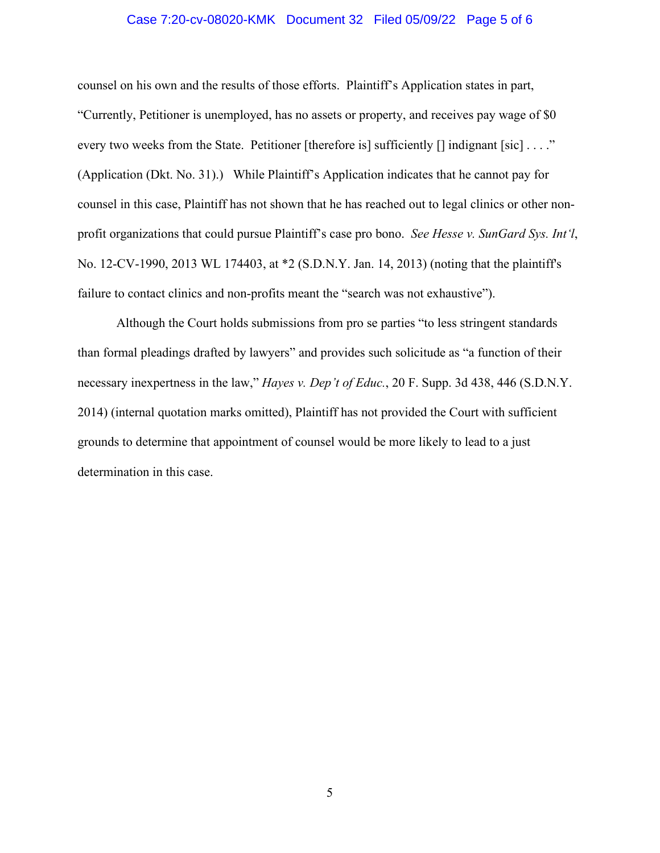#### Case 7:20-cv-08020-KMK Document 32 Filed 05/09/22 Page 5 of 6

counsel on his own and the results of those efforts. Plaintiff's Application states in part, "Currently, Petitioner is unemployed, has no assets or property, and receives pay wage of \$0 every two weeks from the State. Petitioner [therefore is] sufficiently [] indignant [sic] . . . ." (Application (Dkt. No. 31).) While Plaintiff's Application indicates that he cannot pay for counsel in this case, Plaintiff has not shown that he has reached out to legal clinics or other nonprofit organizations that could pursue Plaintiff's case pro bono. *See Hesse v. SunGard Sys. Int'l*, No. 12-CV-1990, 2013 WL 174403, at \*2 (S.D.N.Y. Jan. 14, 2013) (noting that the plaintiff's failure to contact clinics and non-profits meant the "search was not exhaustive").

Although the Court holds submissions from pro se parties "to less stringent standards than formal pleadings drafted by lawyers" and provides such solicitude as "a function of their necessary inexpertness in the law," *Hayes v. Dep't of Educ.*, 20 F. Supp. 3d 438, 446 (S.D.N.Y. 2014) (internal quotation marks omitted), Plaintiff has not provided the Court with sufficient grounds to determine that appointment of counsel would be more likely to lead to a just determination in this case.